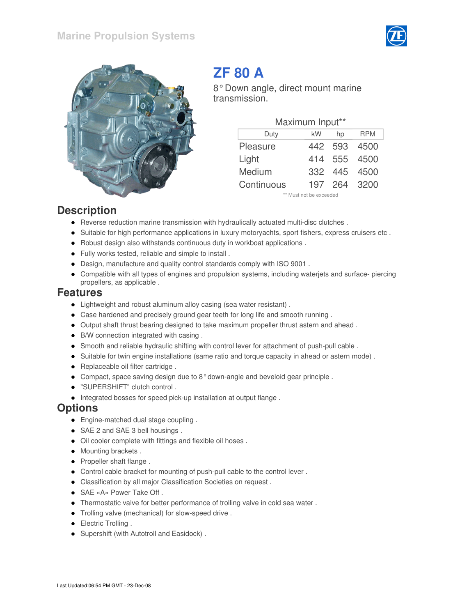



# **ZF 80 A**

8° Down angle, direct mount marine transmission.

| Maximum Input** |                         |         |              |  |  |  |  |  |  |  |
|-----------------|-------------------------|---------|--------------|--|--|--|--|--|--|--|
| Duty            | <b>RPM</b>              |         |              |  |  |  |  |  |  |  |
| Pleasure        | 442                     | 593     | 4500         |  |  |  |  |  |  |  |
| Light           |                         | 414 555 | 4500         |  |  |  |  |  |  |  |
| Medium          | 332 <sub>2</sub>        | -445    | 4500         |  |  |  |  |  |  |  |
| Continuous      |                         |         | 197 264 3200 |  |  |  |  |  |  |  |
|                 | ** Must not be exceeded |         |              |  |  |  |  |  |  |  |

#### **Description**

- Reverse reduction marine transmission with hydraulically actuated multi-disc clutches .
- Suitable for high performance applications in luxury motoryachts, sport fishers, express cruisers etc .
- Robust design also withstands continuous duty in workboat applications .
- Fully works tested, reliable and simple to install .
- Design, manufacture and quality control standards comply with ISO 9001 .
- Compatible with all types of engines and propulsion systems, including waterjets and surface- piercing propellers, as applicable .

#### **Features**

- Lightweight and robust aluminum alloy casing (sea water resistant) .
- Case hardened and precisely ground gear teeth for long life and smooth running .
- Output shaft thrust bearing designed to take maximum propeller thrust astern and ahead .
- B/W connection integrated with casing .
- Smooth and reliable hydraulic shifting with control lever for attachment of push-pull cable .
- Suitable for twin engine installations (same ratio and torque capacity in ahead or astern mode) .
- Replaceable oil filter cartridge.
- Compact, space saving design due to 8° down-angle and beveloid gear principle .
- "SUPERSHIFT" clutch control .
- $\bullet$  Integrated bosses for speed pick-up installation at output flange.

#### **Options**

- **Engine-matched dual stage coupling.**
- SAE 2 and SAE 3 bell housings.
- Oil cooler complete with fittings and flexible oil hoses .
- Mounting brackets.
- Propeller shaft flange.
- Control cable bracket for mounting of push-pull cable to the control lever .
- Classification by all major Classification Societies on request .
- SAE «A» Power Take Off.
- Thermostatic valve for better performance of trolling valve in cold sea water .
- Trolling valve (mechanical) for slow-speed drive .
- Electric Trolling .
- Supershift (with Autotroll and Easidock) .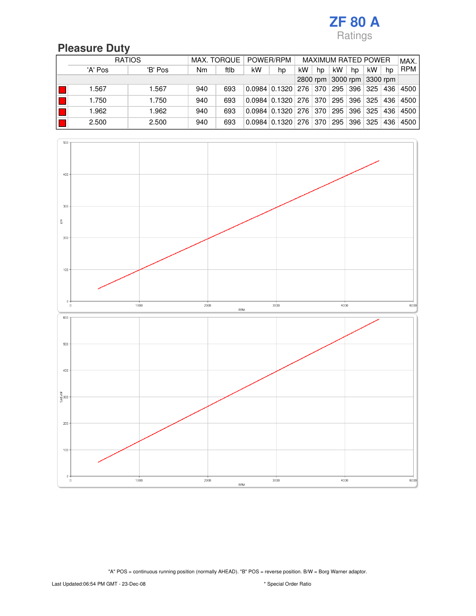#### **Pleasure Duty**

|  | <b>RATIOS</b> |         |     | POWER/RPM<br>MAX. TORQUE |    |                               | <b>MAXIMUM RATED POWER</b> |    |                            |         |     | MAX. |            |
|--|---------------|---------|-----|--------------------------|----|-------------------------------|----------------------------|----|----------------------------|---------|-----|------|------------|
|  | 'A' Pos       | 'B' Pos | Nm  | ftlb                     | kW | hp                            | kW                         | hp | kW                         | hp      | kW  | hp   | <b>RPM</b> |
|  |               |         |     |                          |    |                               |                            |    | 2800 rpm 3000 rpm 3300 rpm |         |     |      |            |
|  | 1.567         | 1.567   | 940 | 693                      |    | $0.0984$   0.1320   276   370 |                            |    |                            | 295 396 | 325 | 436  | 4500       |
|  | 1.750         | 1.750   | 940 | 693                      |    | $0.0984$   0.1320   276   370 |                            |    | 295                        | ⊢396 「  | 325 | 436  | 4500       |
|  | 1.962         | 1.962   | 940 | 693                      |    | $0.0984$   0.1320   276   370 |                            |    | 295                        | 396     | 325 | 436  | 4500       |
|  | 2.500         | 2.500   | 940 | 693                      |    | $0.0984$   0.1320   276   370 |                            |    | 295                        | 396     | 325 | 436  | 4500       |

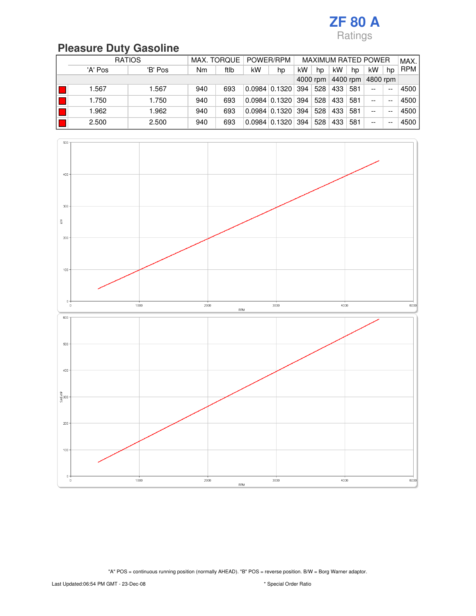# **Pleasure Duty Gasoline**

|          | <b>RATIOS</b> |         |     | MAX. TORQUE<br>POWER/RPM |    |                           | <b>MAXIMUM RATED POWER</b> |     |     |          |          | MAX.  |            |
|----------|---------------|---------|-----|--------------------------|----|---------------------------|----------------------------|-----|-----|----------|----------|-------|------------|
|          | 'A' Pos       | 'B' Pos | Nm  | ftlb                     | kW | hp                        | kW                         | hp  | kW  | hp       | kW       | hp    | <b>RPM</b> |
| 4000 rpm |               |         |     |                          |    |                           |                            |     |     | 4400 rpm | 4800 rpm |       |            |
|          | 1.567         | 1.567   | 940 | 693                      |    | $0.0984 \mid 0.1320 \mid$ | 394                        | 528 | 433 | 581      | $- -$    | $- -$ | 4500       |
|          | 1.750         | 1.750   | 940 | 693                      |    | $0.0984$   0.1320         | 394                        | 528 | 433 | 581      | $- -$    | --    | 4500       |
|          | 1.962         | 1.962   | 940 | 693                      |    | $0.0984$   0.1320         | 394                        | 528 | 433 | 581      | $- -$    | --    | 4500       |
|          | 2.500         | 2.500   | 940 | 693                      |    | $0.0984$   0.1320         | 394                        | 528 | 433 | 581      | --       | --    | 4500       |

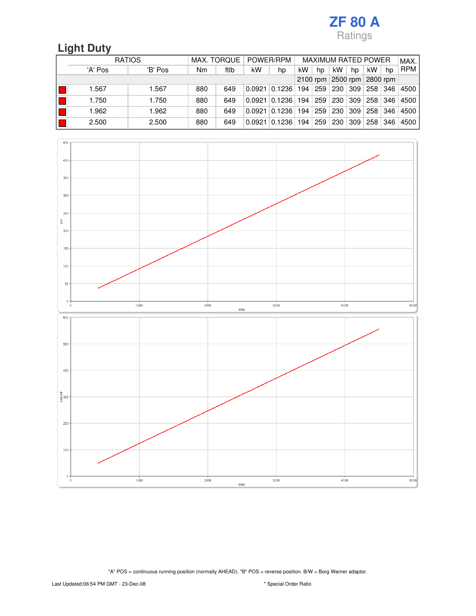# **Light Duty**

|            | <b>RATIOS</b> |         | POWER/RPM<br>MAX. TORQUE |      |        | <b>MAXIMUM RATED POWER</b> |     |                |                   |     | MAX. |     |            |
|------------|---------------|---------|--------------------------|------|--------|----------------------------|-----|----------------|-------------------|-----|------|-----|------------|
|            | 'A' Pos       | 'B' Pos | Nm                       | ftlb | kW     | hp                         | kW  | hp             | kW                | hp  | kW   | hp  | <b>RPM</b> |
| $2100$ rpm |               |         |                          |      |        |                            |     |                | 2500 rpm 2800 rpm |     |      |     |            |
|            | 1.567         | 1.567   | 880                      | 649  | 0.0921 | 0.1236                     | 194 | $^{\circ}$ 259 | 230               | 309 | 258  | 346 | 4500       |
|            | 1.750         | 1.750   | 880                      | 649  | 0.0921 | 0.1236                     | 194 | 259            | 230               | 309 | 258  | 346 | 4500       |
|            | 1.962         | 1.962   | 880                      | 649  | 0.0921 | 0.1236                     | 194 | 259            | 230               | 309 | 258  | 346 | 4500       |
|            | 2.500         | 2.500   | 880                      | 649  | 0.0921 | 0.1236                     | 194 | 259            | 230               | 309 | 258  | 346 | 4500       |

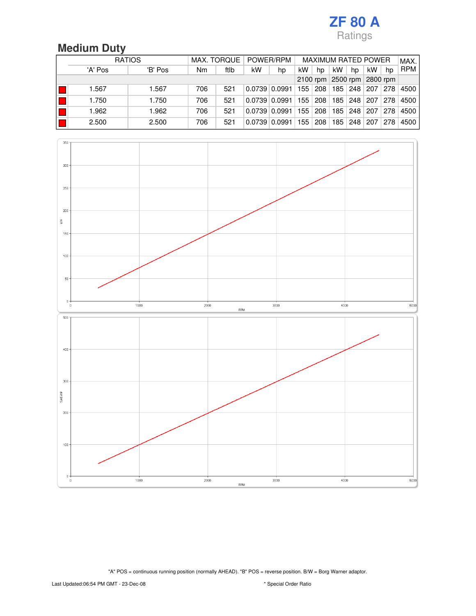# **Medium Duty**

| <b>RATIOS</b> |         |     | POWER/RPM<br>MAX. TORQUE   |                 |    | <b>MAXIMUM RATED POWER</b> |     |     |     |     | MAX. |            |
|---------------|---------|-----|----------------------------|-----------------|----|----------------------------|-----|-----|-----|-----|------|------------|
| 'A' Pos       | 'B' Pos | Nm  | ftlb                       | kW              | hp | kW                         | hp  | kW  | hp  | kW  | hp   | <b>RPM</b> |
|               |         |     | 2100 rpm 2500 rpm 2800 rpm |                 |    |                            |     |     |     |     |      |            |
| 1.567         | 1.567   | 706 | 521                        | 0.0739   0.0991 |    | 155                        | 208 | 185 | 248 | 207 | 278  | 4500       |
| 1.750         | 1.750   | 706 | 521                        | 0.0739   0.0991 |    | 155                        | 208 | 185 | 248 | 207 | 278  | 4500       |
| 1.962         | 1.962   | 706 | 521                        | 0.0739   0.0991 |    | 155                        | 208 | 185 | 248 | 207 | 278  | 4500       |
| 2.500         | 2.500   | 706 | 521                        | 0.0739   0.0991 |    | 155                        | 208 | 185 | 248 | 207 | 278  | 4500       |

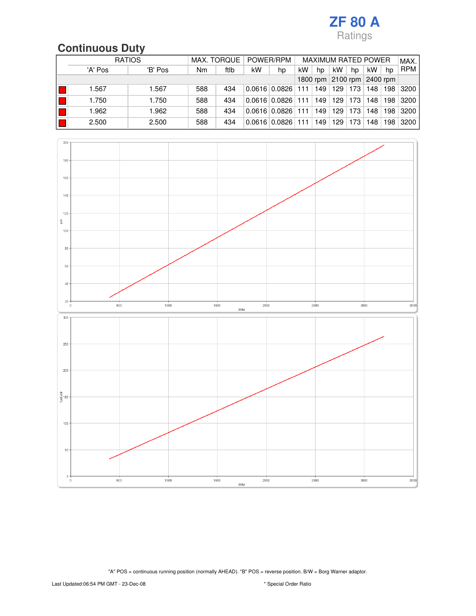# **Continuous Duty**

|  | <b>RATIOS</b> |         | POWER/RPM<br>MAX. TORQUE |      |    | <b>MAXIMUM RATED POWER</b> |     |     |                               |     |     | MAX. |            |
|--|---------------|---------|--------------------------|------|----|----------------------------|-----|-----|-------------------------------|-----|-----|------|------------|
|  | 'A' Pos       | 'B' Pos | Nm                       | ftlb | kW | hp                         | kW  | hp  | kW                            | hp  | kW  | hp   | <b>RPM</b> |
|  |               |         |                          |      |    |                            |     |     | 2100 rpm 2400 rpm<br>1800 rpm |     |     |      |            |
|  | 1.567         | 1.567   | 588                      | 434  |    | $0.0616$ 0.0826            | 111 | 149 | 129                           | 173 | 148 | 198  | 3200       |
|  | 1.750         | 1.750   | 588                      | 434  |    | $0.0616$ 0.0826            | 111 | 149 | 129                           | 173 | 148 | 198  | 3200       |
|  | 1.962         | 1.962   | 588                      | 434  |    | $0.0616 \mid 0.0826 \mid$  | 111 | 149 | 129                           | 173 | 148 | 198  | 3200       |
|  | 2.500         | 2.500   | 588                      | 434  |    | $0.0616 \mid 0.0826$       | 111 | 149 | 129                           | 173 | 148 | 198  | 3200       |

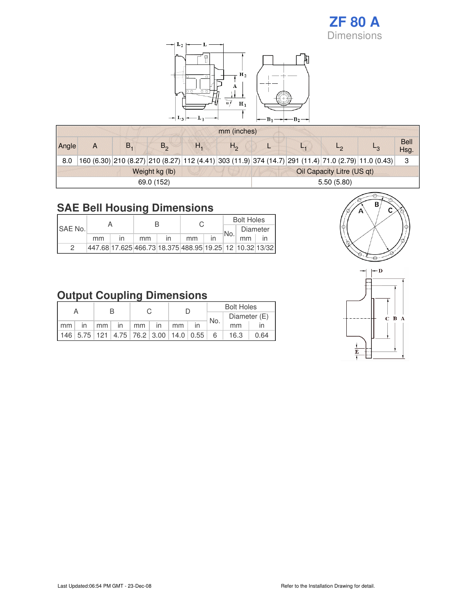#### **ZF 80 A** Dimensions



#### **SAE Bell Housing Dimensions**

| <b>ISAE No.</b> |    |                                                           |  |    | <b>Bolt Holes</b> |          |  |  |  |
|-----------------|----|-----------------------------------------------------------|--|----|-------------------|----------|--|--|--|
|                 |    |                                                           |  |    | No.               | Diameter |  |  |  |
|                 | mm | mm                                                        |  | mm |                   | mm       |  |  |  |
| っ               |    | 447.68 17.625 466.73 18.375 488.95 19.25  12  10.32 13/32 |  |    |                   |          |  |  |  |

#### **Output Coupling Dimensions**

|    |                                                         |                 |    |                   |    |    |                                | <b>Bolt Holes</b> |      |  |  |
|----|---------------------------------------------------------|-----------------|----|-------------------|----|----|--------------------------------|-------------------|------|--|--|
|    |                                                         |                 |    |                   |    |    | Diameter (E)<br>$\sqrt{l}$ No. |                   |      |  |  |
| mm | $\mathsf{I}$                                            | mm <sub>1</sub> | in | $\cdot$ mm $^{+}$ | in | mm |                                | mm                |      |  |  |
|    | 146   5.75   121   4.75   76.2   3.00   14.0   0.55   6 |                 |    |                   |    |    |                                | 16.3              | 0.64 |  |  |